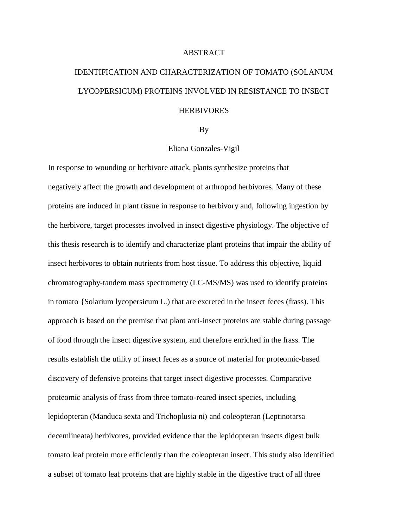## ABSTRACT

## IDENTIFICATION AND CHARACTERIZATION OF TOMATO (SOLANUM LYCOPERSICUM) PROTEINS INVOLVED IN RESISTANCE TO INSECT **HERBIVORES**

## By

## Eliana Gonzales-Vigil

In response to wounding or herbivore attack, plants synthesize proteins that negatively affect the growth and development of arthropod herbivores. Many of these proteins are induced in plant tissue in response to herbivory and, following ingestion by the herbivore, target processes involved in insect digestive physiology. The objective of this thesis research is to identify and characterize plant proteins that impair the ability of insect herbivores to obtain nutrients from host tissue. To address this objective, liquid chromatography-tandem mass spectrometry (LC-MS/MS) was used to identify proteins in tomato {Solarium lycopersicum L.) that are excreted in the insect feces (frass). This approach is based on the premise that plant anti-insect proteins are stable during passage of food through the insect digestive system, and therefore enriched in the frass. The results establish the utility of insect feces as a source of material for proteomic-based discovery of defensive proteins that target insect digestive processes. Comparative proteomic analysis of frass from three tomato-reared insect species, including lepidopteran (Manduca sexta and Trichoplusia ni) and coleopteran (Leptinotarsa decemlineata) herbivores, provided evidence that the lepidopteran insects digest bulk tomato leaf protein more efficiently than the coleopteran insect. This study also identified a subset of tomato leaf proteins that are highly stable in the digestive tract of all three